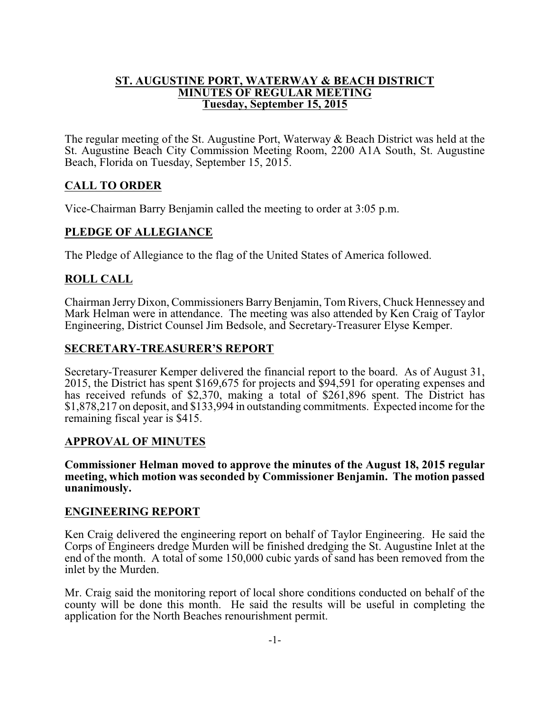#### **ST. AUGUSTINE PORT, WATERWAY & BEACH DISTRICT MINUTES OF REGULAR MEETING Tuesday, September 15, 2015**

The regular meeting of the St. Augustine Port, Waterway & Beach District was held at the St. Augustine Beach City Commission Meeting Room, 2200 A1A South, St. Augustine Beach, Florida on Tuesday, September 15, 2015.

# **CALL TO ORDER**

Vice-Chairman Barry Benjamin called the meeting to order at 3:05 p.m.

# **PLEDGE OF ALLEGIANCE**

The Pledge of Allegiance to the flag of the United States of America followed.

# **ROLL CALL**

Chairman Jerry Dixon, Commissioners BarryBenjamin, Tom Rivers, Chuck Hennessey and Mark Helman were in attendance. The meeting was also attended by Ken Craig of Taylor Engineering, District Counsel Jim Bedsole, and Secretary-Treasurer Elyse Kemper.

### **SECRETARY-TREASURER'S REPORT**

Secretary-Treasurer Kemper delivered the financial report to the board. As of August 31, 2015, the District has spent \$169,675 for projects and \$94,591 for operating expenses and has received refunds of \$2,370, making a total of \$261,896 spent. The District has \$1,878,217 on deposit, and \$133,994 in outstanding commitments. Expected income for the remaining fiscal year is \$415.

## **APPROVAL OF MINUTES**

**Commissioner Helman moved to approve the minutes of the August 18, 2015 regular meeting, which motion was seconded by Commissioner Benjamin. The motion passed unanimously.**

### **ENGINEERING REPORT**

Ken Craig delivered the engineering report on behalf of Taylor Engineering. He said the Corps of Engineers dredge Murden will be finished dredging the St. Augustine Inlet at the end of the month. A total of some 150,000 cubic yards of sand has been removed from the inlet by the Murden.

Mr. Craig said the monitoring report of local shore conditions conducted on behalf of the county will be done this month. He said the results will be useful in completing the application for the North Beaches renourishment permit.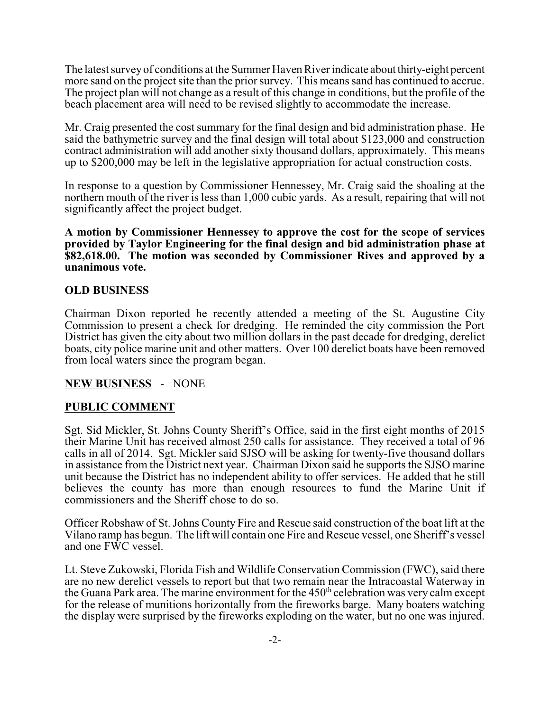The latest surveyof conditions at the Summer Haven River indicate aboutthirty-eight percent more sand on the project site than the prior survey. This means sand has continued to accrue. The project plan will not change as a result of this change in conditions, but the profile of the beach placement area will need to be revised slightly to accommodate the increase.

Mr. Craig presented the cost summary for the final design and bid administration phase. He said the bathymetric survey and the final design will total about \$123,000 and construction contract administration will add another sixty thousand dollars, approximately. This means up to \$200,000 may be left in the legislative appropriation for actual construction costs.

In response to a question by Commissioner Hennessey, Mr. Craig said the shoaling at the northern mouth of the river is less than 1,000 cubic yards. As a result, repairing that will not significantly affect the project budget.

**A motion by Commissioner Hennessey to approve the cost for the scope of services provided by Taylor Engineering for the final design and bid administration phase at \$82,618.00. The motion was seconded by Commissioner Rives and approved by a unanimous vote.**

### **OLD BUSINESS**

Chairman Dixon reported he recently attended a meeting of the St. Augustine City Commission to present a check for dredging. He reminded the city commission the Port District has given the city about two million dollars in the past decade for dredging, derelict boats, city police marine unit and other matters. Over 100 derelict boats have been removed from local waters since the program began.

### **NEW BUSINESS** - NONE

## **PUBLIC COMMENT**

Sgt. Sid Mickler, St. Johns County Sheriff's Office, said in the first eight months of 2015 their Marine Unit has received almost 250 calls for assistance. They received a total of 96 calls in all of 2014. Sgt. Mickler said SJSO will be asking for twenty-five thousand dollars in assistance from the District next year. Chairman Dixon said he supports the SJSO marine unit because the District has no independent ability to offer services. He added that he still believes the county has more than enough resources to fund the Marine Unit if commissioners and the Sheriff chose to do so.

Officer Robshaw of St. Johns County Fire and Rescue said construction of the boat lift at the Vilano ramp has begun. The lift will contain one Fire and Rescue vessel, one Sheriff's vessel and one FWC vessel.

Lt. Steve Zukowski, Florida Fish and Wildlife Conservation Commission (FWC), said there are no new derelict vessels to report but that two remain near the Intracoastal Waterway in the Guana Park area. The marine environment for the 450<sup>th</sup> celebration was very calm except for the release of munitions horizontally from the fireworks barge. Many boaters watching the display were surprised by the fireworks exploding on the water, but no one was injured.